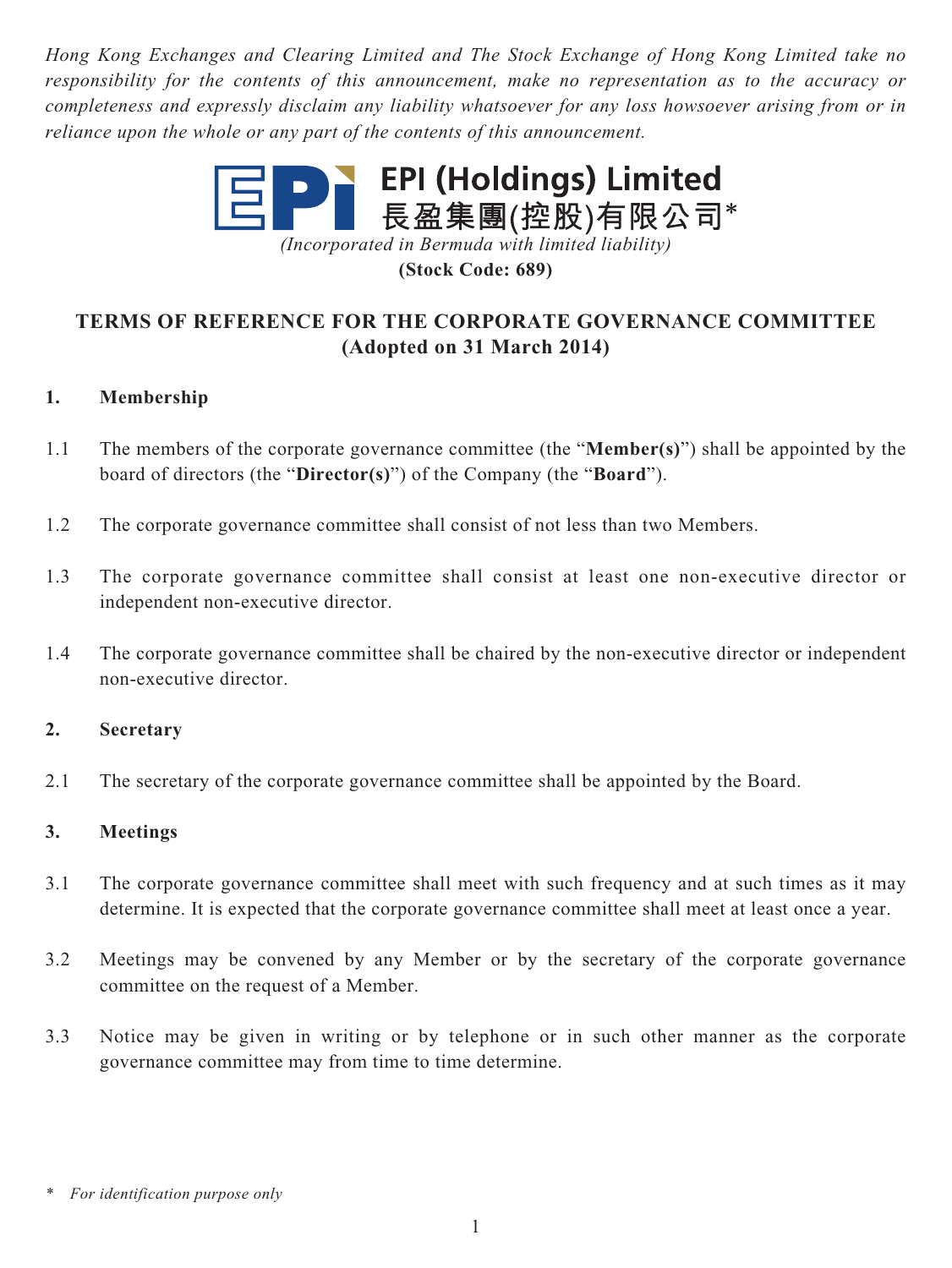*Hong Kong Exchanges and Clearing Limited and The Stock Exchange of Hong Kong Limited take no responsibility for the contents of this announcement, make no representation as to the accuracy or completeness and expressly disclaim any liability whatsoever for any loss howsoever arising from or in reliance upon the whole or any part of the contents of this announcement.*



**(Stock Code: 689)**

# **TERMS OF REFERENCE FOR THE CORPORATE GOVERNANCE COMMITTEE (Adopted on 31 March 2014)**

# **1. Membership**

- 1.1 The members of the corporate governance committee (the "**Member(s)**") shall be appointed by the board of directors (the "**Director(s)**") of the Company (the "**Board**").
- 1.2 The corporate governance committee shall consist of not less than two Members.
- 1.3 The corporate governance committee shall consist at least one non-executive director or independent non-executive director.
- 1.4 The corporate governance committee shall be chaired by the non-executive director or independent non-executive director.

### **2. Secretary**

2.1 The secretary of the corporate governance committee shall be appointed by the Board.

### **3. Meetings**

- 3.1 The corporate governance committee shall meet with such frequency and at such times as it may determine. It is expected that the corporate governance committee shall meet at least once a year.
- 3.2 Meetings may be convened by any Member or by the secretary of the corporate governance committee on the request of a Member.
- 3.3 Notice may be given in writing or by telephone or in such other manner as the corporate governance committee may from time to time determine.

*<sup>\*</sup> For identification purpose only*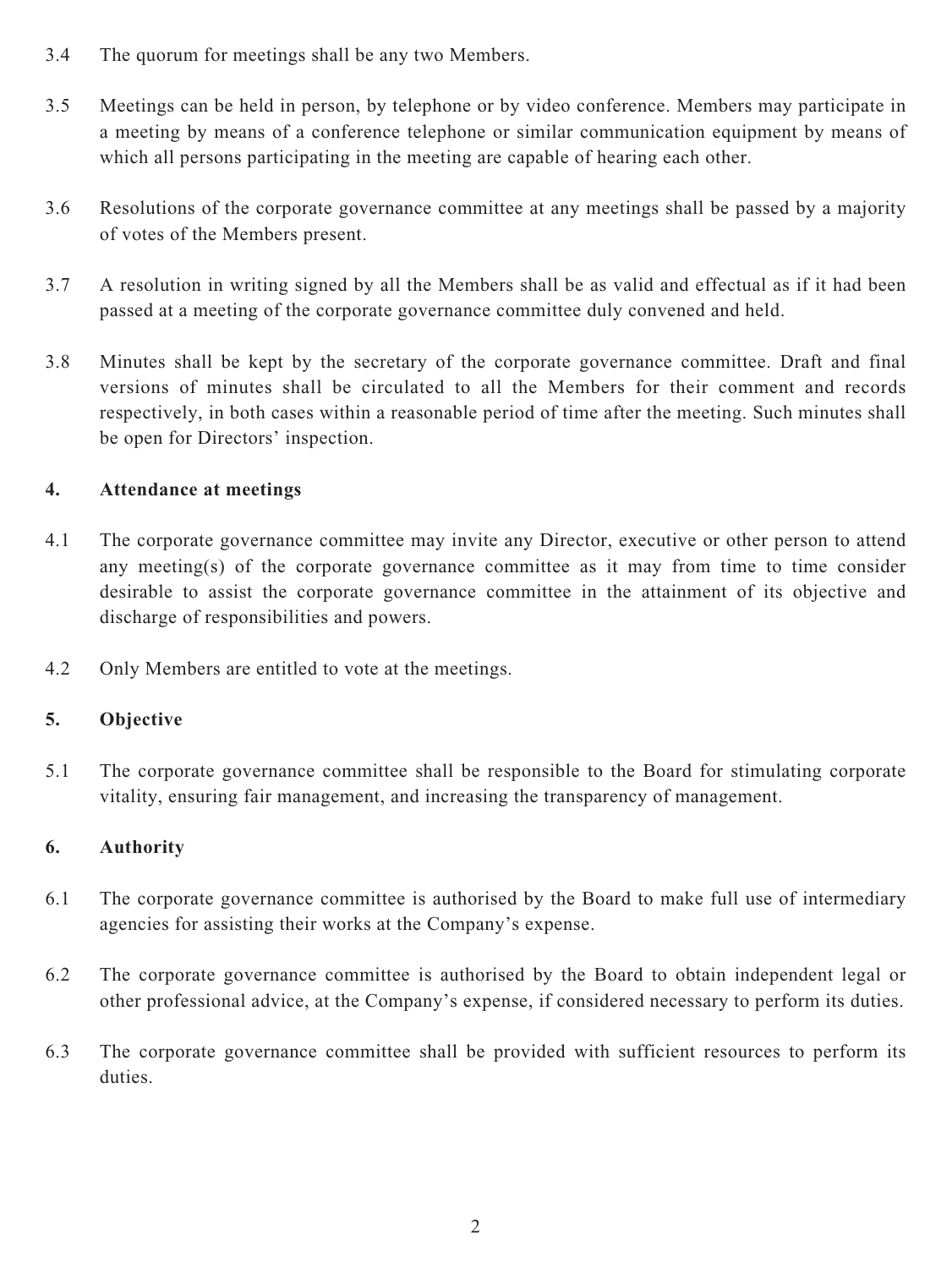- 3.4 The quorum for meetings shall be any two Members.
- 3.5 Meetings can be held in person, by telephone or by video conference. Members may participate in a meeting by means of a conference telephone or similar communication equipment by means of which all persons participating in the meeting are capable of hearing each other.
- 3.6 Resolutions of the corporate governance committee at any meetings shall be passed by a majority of votes of the Members present.
- 3.7 A resolution in writing signed by all the Members shall be as valid and effectual as if it had been passed at a meeting of the corporate governance committee duly convened and held.
- 3.8 Minutes shall be kept by the secretary of the corporate governance committee. Draft and final versions of minutes shall be circulated to all the Members for their comment and records respectively, in both cases within a reasonable period of time after the meeting. Such minutes shall be open for Directors' inspection.

# **4. Attendance at meetings**

- 4.1 The corporate governance committee may invite any Director, executive or other person to attend any meeting(s) of the corporate governance committee as it may from time to time consider desirable to assist the corporate governance committee in the attainment of its objective and discharge of responsibilities and powers.
- 4.2 Only Members are entitled to vote at the meetings.

# **5. Objective**

5.1 The corporate governance committee shall be responsible to the Board for stimulating corporate vitality, ensuring fair management, and increasing the transparency of management.

### **6. Authority**

- 6.1 The corporate governance committee is authorised by the Board to make full use of intermediary agencies for assisting their works at the Company's expense.
- 6.2 The corporate governance committee is authorised by the Board to obtain independent legal or other professional advice, at the Company's expense, if considered necessary to perform its duties.
- 6.3 The corporate governance committee shall be provided with sufficient resources to perform its duties.